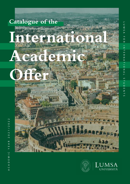



ACADEMIC YEAR 2021/2022  $\overline{\mathsf{N}}$  $\ddot{\circ}$  $\frac{1}{2}$  $\overline{\mathsf{C}}$  $\circ$  $\overline{\mathsf{C}}$  $\alpha$  $\triangleleft$ Ш  $\cup$  $\overline{\mathsf{z}}$ Ш  $\Omega$  $\prec$  $\cup$  $\prec$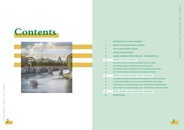# **Contents**



 $\sim$ 

## **IERSITY**

#### **TUDENTS**

#### **LUMBER AND ENGINE PROGRAM DETAILS**

- **GANIZATIONAL WELL-BEING**
- **NAL RELATIONS (ROME)**
- **& DIGITAL COMMUNICATION (ROME)**
- **LAGAGE IN CONSULTING (ROME)**
- **DEGREE IN ENGLISH**
- **AND TECHNIQUES OF PSYCHOLOGY (ROME)**
- **LAND INTERNATIONAL SCIENCE (ROME)**
- **IN LAW INTERNATIONAL PROGRAM (ROME)**
- **LIN LAW INTERNATIONAL PROGRAM (PALERMO)**
- **TIONAL PROGRAMS**

| 4  | <b>INTRODUCTION TO LUMSA UNIVE</b>            |
|----|-----------------------------------------------|
| 6  | <b>SERVICES FOR INTERNATIONAL ST</b>          |
| 8  | THE ITALIAN ACADEMIC SYSTEM                   |
| 9  | <b>LUMSA'S ACADEMIC OFFER</b>                 |
| 10 | LUMSA'S ACADEMIC OFFER IN EN                  |
| 10 | <b>DEGREES TAUGHT IN ENGLISH</b>              |
| 11 | <b>LM-51 PSYCHOLOGY OF WORK AND ORD</b>       |
| 15 | <b>LM-52 MASTER DEGREE IN INTERNATION</b>     |
| 19 | <b>LM-59 MASTER DEGREE IN MARKETING &amp;</b> |
| 23 | <b>LM-77 MASTER DEGREE IN MANAGEMEN</b>       |
| 28 | <b>DEGREES INCLUDING COURSES T/</b>           |
| 28 | <b>L-24 BACHELOR'S DEGREE IN SCIENCES /</b>   |
| 32 | <b>L-36 BACHELOR'S DEGREE IN POLITICAL</b>    |
| 39 | <b>LMG/01 SINGLE CYCLE MASTER DEGREE</b>      |
| 44 | <b>LMG/01 SINGLE CYCLE MASTER DEGREE</b>      |
| 48 | <b>DOUBLE DEGREES AND INTERNAT</b>            |
| 50 | <b>WHERE WE ARE</b>                           |

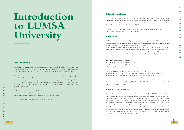# **Introduction to LUMSA University**

## **An Overview.**

Founded in 1939, LUMSA is the second oldest university in Rome and is located in the heart of the city. Inspired by Catholic values, LUMSA is a public non-state university, committed to the education of young people and professionals. It offers academic excellence tailored to the needs of the individual student.

At LUMSA, we seek not only to prepare students for success in their careers, but also to inspire, support and help them become who they are.

There are 1,600 graduate and undergraduate enrollments every year, with a total student population of 7,000 from all over Italy and 55 other countries. Last year, LUMSA awarded over 1,500 degrees and granted financial aid in our commitment to providing access to higher education for students from any economic background.

LUMSA''s headquarters are close to St. Peter's Square.

There are four University buildings, a few minutes' walk from each other and easily accessible by public transport. There are also campuses in Palermo (Sicily) and Taranto (Apulia).

LUMSA is a member of Euraxess, FUCE-IFCU and EUA networks.

#### **International studies**

LUMSA promotes international exchange and offers enrolled students several mobility opportunities for study and traineeship abroad through 318 Erasmus+ agreements and 32 bilateral agreements with universities outside Europe, including Argentina, Armenia, Australia, Belarus, Brasil, Canada, Chile, Colombia, India, Israel, Mexico, Perù, Serbia and USA.

Moreover students can take part in one of the double degree programs developed with European universities (for details see page AA of this Catalogue).

#### **Enrollment**

LUMSA makes it easy to study in Italy, providing assistance through a dedicated Welcome Office that support students with information about academic courses and enrolment procedures for international students and provides also support to international Visiting Professors. The support provided is not only on-site, for those who are already in Italy, but also during the prearrival phase, a crucial moment for international students which need a dedicated assistance to choose the right university and to receive orientation on immigration procedures to enter Italy. International students are also Italian students with previous international degree and qualification obtained abroad and European Union students.

#### **Welcome Office contact details:**

Via di Porta di Castello, 44 00193 – Rome Italy Email: international.admissions@LUMSA.it Website: https://www.LUMSA.it/en/international\_prospective

Qualifications awarded abroad can grant access to an Italian university if:

- they are awarded by schools officially recognized by the foreign country's education system;
- they are awarded on completion of a minimum of 12 years of overall schooling;
- they are valid to enrol in the universities of the country that awarded them.

EU students can apply directly following LUMSA deadlines. Non-EU students must pre-enrol through the Italian diplomatic representatives.

#### **Resources and Facilities**

Students have access to a great number of resources and facilities. LUMSA has consolidated three libraries into single one, containing books, periodicals and journals, as well as electronic resources, numbering over 160.000 volumes and 485 serial titles. 20,000 accesses are recorded every year. The library subscribes to more than 20 databases and e-journal collections and is also hosting a European Documentation Centre. The new library contains a small exhibition of archaeological finds from Ancient Rome, discovered during excavations for the new building. The University is a member of international networks of libraries, providing additional access to partner resources. Technology and suites available allow on-demand streaming for specific classes. The Rome and Palermo campuses are licensed Learning and Testing Centres for world-renowned exams in the professional, economic, IT and linguistic fields.

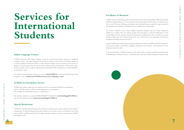#### **Italian Language Courses**

LUMSA University offers Italian language courses for international students through its established Language Center. The Italian language courses foresees intensive crash courses for beginners dedicated to newly enrolled international students, as well as Erasmus students, and semi intensive annual courses at beginner and intermediate level for the rest of the students for the entire duration of their study course. At the end of the courses, students will obtain the international CELI certification, for which LUMSA is an authorized center.

For assistance and information, students can contact **clic@LUMSA.it** or view the dedicated page of the Linguistic Centre at **http://www.LUMSA.it/en/services\_language\_centre**

#### **LUMSA Accomodation Service**

LUMSA has residency halls and a new dedicated service. In particular LUMSA Accommodation Service, will help students in Rome to find appropriate accommodation. The LUMSA Accommodation Service is completely free.

For assistance, students can contact LUMSA SERVIZIO ALLOGGI at **servizioalloggi@LUMSA.it** and view the dedicated website **http://servizioalloggi.LUMSA.it**

#### **Special Reductions**

LUMSA has signed several trade agreements with shops, restaurants, gym centers, medical centers, business organisations or cultural institutions that allow students to use specific services on favorable terms. To get the favourable conditions provided by the single agreement, students just have to present their LUMSA identification card.

# **Services for International Students**

### **Excellence in Research**

LUMSA achieved outstanding results in the last Assessment of Research Quality (VQR) sponsored by ANVUR (National Agency for the University System Evaluation and Research) covering the years 2011 to 2014. The areas of Business, Economics, Law and Social Sciences ranked Q1 (upper quartile of the distribution). Psychology and Political Science ranked Q2 (second quartile).

The results, calculated on the entire LUMSA University, underline that the average ranking for publications is higher than the national average. The percentage of evaluated publications is 97%, namely higher than the national average. The proportion of publications with an excellent/very good ranking is higher than the national average in the areas of Economics, Law, Languages and Literature, Pedagogy, Psychology and Social Sciences.

In Law, LUMSA ranks fourth in Italy among the small sized universities, and fifth overall. The Department of Economics, Politics and Modern Languages, Department Law (Rome) and Department of Law (Palermo) rank Q1 in Italy.

In the Social Sciences, LUMSA University ranks third in Italy among the small sized universities for the Department of Human Sciences - Communication, Education and Psychology, and fourth overall.

**6 7**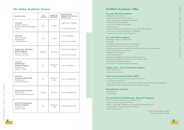#### **1st cycle Bachelor degrees**

- Management and economics
- Business and Economics *(Palermo Campus)*
- Political international and Administrative Science\*
- Linguistics and Cultural Mediation
- Science and techniques of psychology\*
- Education Sciences
- Social work and non-profit organization sciences *(Rome, Palermo, Taranto)*
- Communication Sciences, Information and Marketing
- Computer Science Tools for Data Management

### **2st cycle Master degrees**

- Marketing & Digital Communication\*\*
- Psychology
- Psychology of Work and Organizational Well-being \*\*
- Communication, Innovation and experience design
- Planning and management of educational and training services and of media education
- Politics, administrations and innovation
- Management and Finance\*\*
- International relations\*\*
- Planning and management of educational and training services
- Management of Welfare Policies and Social Services *(Rome, Palermo)*
- Economics and management (Palermo)
- Psychology of work and organizational well-being

- MSDG Annual MSc in Management of Sustainable Development Goals \*\*
- European Master of Law and Economics (EMLE) \*\*
- Fintech & Innovation  $\star\star$

### **Single cycle - 2nd Cycle Master degrees**

- Law \* *(Rome, Palermo)*
- Primary teacher education

### **3nd Cycle Doctoral studies (PhD)**

- Sciences of civil economy, governance, institutions and history
- Contemporary Humanism\*\*
- Social and psychological sciences. Development and wellbeing of the individual and organizations
- Mediterranean Studies. History, Law & Economics (Palermo campus)

### **Specialization Schools**

 $\sim$ 

- Legal professions
- Psychotherapy

### **1st and 2nd level Professional Master® Programs**

*More 1st and 2nd level Professional, ers are available in Italian. A full list is available at masterschool.LUMSA.it.*

> \* Courses with modules in English \*\* Courses entirely in English

| QUALIFICATION                                                        | <b>ECTS</b><br><b>CREDITS</b> | <b>LENGTH OF</b><br><b>PROGRAMS</b> | QUALIFICATION<br><b>REQUIRE TO ACCESS THE</b><br><b>OTHER CYCLES</b> |
|----------------------------------------------------------------------|-------------------------------|-------------------------------------|----------------------------------------------------------------------|
| <b>1st Cycle</b><br>Bachelor degrees<br>Bachelor level Undergraduate | 180                           | 3 Years                             | < High School Diploma                                                |
| Laurea                                                               |                               |                                     | > Access to 2nd Cycle                                                |
| 2st Cycle<br>Master degrees                                          | 120                           | 2 Years                             | < 1st Cycle Degree                                                   |
| Postgraduate<br>Laurea Magistrale                                    |                               |                                     | > Access to 3nd Cycle                                                |
| <b>Single Cycle - 2nd Cycle</b><br><b>Master degrees</b>             | 300/360                       | 5/6 Years                           | < High School Diploma                                                |
| Bachelor+Master<br>Laurea a Ciclo Unico                              |                               |                                     | > Access to 2nd Cycle                                                |
| <b>1st Level</b><br><b>Professional</b>                              |                               | Minimum                             |                                                                      |
| <b>Master's Program</b><br>Postgraduate<br>Master 1° Livello         | 60                            | 1 Year                              | < 1st Cycle Degree                                                   |
| 3st Cycle<br><b>Doctoral studies (PhD)</b>                           |                               | Minimum                             |                                                                      |
| Postgraduate<br>Dottorato di Ricerca                                 | n.a.                          | 1 Year                              | < 2st and Single Cycle                                               |
| <b>Specialisation Schools</b>                                        |                               |                                     |                                                                      |
| Postgraduate<br>Diploma di Specializzazione                          | 120/360                       | 2/6 Years                           | < 2st and Single Cycle                                               |
| 2nd level Professional<br><b>Master's Program</b>                    |                               | Minimum                             |                                                                      |
| Postgraduate<br>Master 2° livello                                    | 60                            | 1 Year                              | < 2st and Single Cycle                                               |

# **The Italian Academic System LUMSA's Academic Offer**

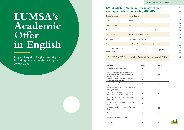# **LM-51 Master Degree in Psychology of work and organizational well-being (ROME)**

#### **FIRST YEAR**

| Type of program                                           | <b>Master Degree</b>                           |
|-----------------------------------------------------------|------------------------------------------------|
| Class                                                     | LM-51                                          |
| <b>Recognized ECTS</b>                                    | 120                                            |
| Admission                                                 | Assessment of curricular requirements          |
| Department                                                | Department of Human Studies                    |
| Training centre                                           | Piazza delle Vaschette, 101                    |
| Course coordinator                                        | Prof. Paula Benevene - benevene@lumsa.it       |
| International Students,<br>enrollment and<br>orienteering | Welcome Office - international.admissions@     |
| International cooperation<br>agreements and Erasmus       | International Relations Office - international |

| <b>COURSES</b>                                                                                    | <b>ECTS</b> | <b>HOURS</b> |
|---------------------------------------------------------------------------------------------------|-------------|--------------|
| Evidence-based management                                                                         | 6           | 30           |
| Training, empowerment, and strengthe-<br>ning of soft skills. business coaching<br>and counseling | 6           | 30           |
| Promotion and protection of health and<br>well-being within organizations                         | 6           | 30           |
| Statistical methods for the analysis of<br>organizational phenomena                               | 6           | 30           |
| Workshop: structures and processes of<br>the organizations                                        | 3           | 30           |
| Methods and techniques of selection<br>and assessment of human resources                          | 6           | 30           |
| Group dynamics, conflict and negotia-<br>tion in organizations                                    | 6           | 30           |
| Decision-making psychology applied to<br>organizations                                            | 6           | 30           |
| Economics and development of innova-<br>tion                                                      | 6           | 30           |
| Workshop: project management                                                                      | 3           | 30           |
| Workshop: business english                                                                        | 3           | 60           |
| Theology                                                                                          | 6           | 60           |

| <b>ECTS</b> | <b>HOURS</b> |
|-------------|--------------|
| 6           | 30           |
| 6           | 30           |
| 6           | 30           |
| 6           | 30           |
| 3           | 30           |
| 6           | 30           |
| 6           | 30           |
| 6           | 30           |
| 6           | 30           |
| 3           | 30           |
| 3           | 60           |
| 6           | 60           |

# **LUMSA's Academic Offer in English**

**Degree taught in English, and degree including courses taught in English.** *Program details*



#### **DEGREE TAUGHT IN ENGLISH**

ce - international.admissions@LUMSA.it

Relations Office - international@LUMSA.it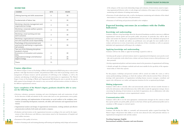#### **SECOND YEAR**

| <b>COURSES</b>                                                                                                                                        | <b>ECTS</b> | <b>HOURS</b> |
|-------------------------------------------------------------------------------------------------------------------------------------------------------|-------------|--------------|
| Lifelong learning and skills assessment                                                                                                               | 6           | 30           |
| Fundamentals of labour law                                                                                                                            | 6           | 30           |
| Workshop: diversity management and<br>organizational change                                                                                           | 3           | 30           |
| Workshop: corporate welfare systems<br>and incentives                                                                                                 | 3           | 30           |
| Workshop: smart working and new<br>work scenarios                                                                                                     | 3           | 30           |
| Workshop: organizational communica-<br>tion and corporate social responsibility                                                                       | 3           | 30           |
| Psychology of the environment and<br>psychosocial well-being in organizatio-<br>nal contexts                                                          | 6           | 30           |
| Two out of the following disciplines<br>(student's choice):<br>Economics of innovation and sustaina-<br>bility<br>Organizational design and behaviour | 6<br>6      | 30<br>30     |
| Digital strategy<br><b>Thesis</b>                                                                                                                     | 6<br>15     | 30           |

#### **Course objectives:**

The Master's Degree Course in Psychology of Work and Organizational Well-being aims to train master's graduates with high theoretical-scientific and professional skills in the field of psychology aimed at the management of human resources and the promotion of well-being in the workplace, as well as the evaluation and planning of individual, group and network intervention in organizations. The Master's Degree Course in Psychology of Work and Organizational Well-Being also aims to provide the specific skills required of psychologists who intend to carry out research and intervention activities in relation to the different organizational contexts.

#### **Upon completion of the Master's degree, graduates should be able to carry out the following tasks:**

- Selection, evaluation, assessment, retraining, and career development; study and construction of tools for the detection of skills and attitudes for the various tasks (such as: tests, questionnaires, survey grids);
- Analysis, planning, and implementation of intervention on social conflicts in the workplace; interventions on leadership development, teamwork, soft skills, staff motivation and organizational involvement;
- Organizational analysis and design of organizational environments, working methods and effective communication methods, both inside and outside a company;
- Evaluation and intervention on the organizational structures according to the users and for the improvement of their effectiveness and efficiency; interventions aimed at the humanization of hospitals and social welfare structures;
- Assessment of the quality of services;
- 

of the adequacy of the man-tools relationship; design and evaluation of interventions aimed at improving organizational behavior, safety at work, design and evaluation of the impact of new technologies; monitoring and evaluation of training interventions;

- Detection of work-related stress risk, as well as development, monitoring and evaluation of the related interventions to combat and reduce the phenomenon;
- Promotion of well-being and psychosocial health in the workplace.

#### • Assessment of the quality of services;<br>• Analysis of training needs and training planning; staff training and updating; study, design and assessment **13 Teaching language: English International mobility: Erasmus and non-Erasmus**

 $\sim$ 

#### **Expected learning outcomes (in accordance with the Dublin Indicators):**

#### **Knowledge and understanding**

Graduates will have a deep knowledge about the theoretical foundations needed to intervene in different organizational contexts (profit and non-profit, public and private). In particular, they will be able to analyse and monitor the dynamics of organizational behaviours, both at the individual and group level. They will be able to identify and address any problematic areas and apply the most suitable tools to evaluate and intervene in terms of prevention and reduction of these criticalities as well as to promote individual and organizational well-being in the workplace.

#### **Applying knowledge and understanding**

Graduates will have the ability to apply the knowledge acquired in order to:

- develop specific projects and interventions aimed at organizational development; assess psycho-social risks and, in particular, work-related stress; evaluate and assess human resources, their performance and their potential;
- 
- identify and apply the techniques, methods and tools most suitable for the specificity of the organizational reality in which they operate;

• develop organizational policies and interventions aimed at the promotion of organizational well-being;



For this purpose, workshops and practical activities will be carried out within the course, as well as various professionalizing workshops, in which the students will be directly involved. There will also be meetings with representatives of organizations including human resources managers, consultants and experts who will present case studies and important situations for the occupational psychologist.

#### **Making judgements**

Graduates will be able to critically collect and autonomously analyse the relevant scientific literature as well as the information collected; furthermore, they will be able to make the appropriate strategic choices concerning the planning of interventions in any kind of organization, also in collaboration with other professional figures operating in various organizational contexts.

#### **Communication skills**

Graduates will be able to use the most appropriate communication strategies for the context in which they operate (profit, non-profit, public, private) on the basis of their specific professional profile (such as consultant or HR manager or external expert).

#### **Learning skills**

Graduates will develop the ability to constantly and autonomously update acquired knowledge. The Master's degree will promote their ability to use the most advanced tools, with particular reference to organizational management tools and data analysis.

#### **DEGREE TAUGHT IN ENGLISH**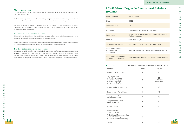# **LM-52 Master Degree in International Relations (ROME)**

| Type of program                                                                    | <b>Master Degree</b> |                                       |                                                                |
|------------------------------------------------------------------------------------|----------------------|---------------------------------------|----------------------------------------------------------------|
| Class                                                                              | LM-52                |                                       |                                                                |
| <b>Recognized ECTS</b>                                                             | 120                  |                                       |                                                                |
| Admission                                                                          |                      | Assessment of curricular requirements |                                                                |
| Department                                                                         | Modern Languages     |                                       | Department of Law, Economics, Political Sciences and           |
| Address                                                                            | Via M. Colonna, 19   |                                       |                                                                |
| <b>Chair of Master Degree</b>                                                      |                      |                                       | Prof. Tiziana Di Maio - tiziana.dimaio@LUMSA.it                |
| International Students,<br>enrollment and<br>orienteering                          |                      |                                       | Welcome Office - international.admissions@LUMSA.it             |
| International cooperation<br>agreements and Erasmus                                |                      |                                       | International Relations Office - international@LUMSA.it        |
| <b>FIRST YEAR</b>                                                                  |                      |                                       | Curriculum: International Relations in the Digital Era (IRIDE) |
| <b>COURSES</b>                                                                     |                      | <b>ECTS</b>                           | <b>HOURS</b>                                                   |
| <b>International Economics</b>                                                     |                      | 9                                     | 60                                                             |
| French Language<br>or Spanish Language<br>or German Language<br>or Arabic Language |                      | 9                                     | 20<br>+4h/week<br>of practice                                  |

#### **Career prospects:**

Managers of human resources and organizational processes among public and private, as well as profit and non-profit organizations;

Professionals of organizational consultancies, dealing with personnel selection and training, organizational analysis and planning; outplacement, stress prevention, and organizational well-being;

Freelance consultants, as a trainer, counselor, tutor, mentor, coach, recruiter and evaluator of human resources, as well as an analyzer of the quality of processes, of the organizational climate and culture, and of the risks of work-related stress.

|                                |                                                                 | <b>ECTS</b>    | <b>HOURS</b>                  |
|--------------------------------|-----------------------------------------------------------------|----------------|-------------------------------|
| <b>International Economics</b> |                                                                 | 9              | 60                            |
| or German Language             |                                                                 | 9              | 20<br>+4h/week<br>of practice |
|                                | Democracy in the Digital Era                                    | 6              | 40                            |
|                                | Contemporary World History                                      | 6              | 40                            |
| History and Analysis of        |                                                                 | 6              | 40                            |
| European approach to           |                                                                 | 6              | 40                            |
|                                |                                                                 | 6              | 40                            |
|                                |                                                                 | $\overline{3}$ | 30                            |
|                                | Project Cycle Management Lab<br>or Soft Skills: Public speaking | $\mathbf{3}$   | $\sim$                        |
|                                |                                                                 | 6              | 60                            |

#### **Continuation of the academic career:**

The completion of the Master's degree will allow graduates to have access to PhD programmes as well as executive/professional Master's programmes (post-lauream Masters).

The Master's degree in Psychology of work and organizational well-being also ensures the participation in open competition exams for the Italian Public Administration-level employment

#### **Further information on the course**

The faculty is highly qualified and includes both scholars and professionals. Students will experience a variety of teaching and learning methods including traditional and interactive lectures, case studies, seminars, presentations and group project works. Drawing upon direct contacts with for- and non-profit organizations, teaching methods are designed to create a stimulating and practical learning environment.

#### **Curricular:** Curricular in the Digital Era (IRIDE)

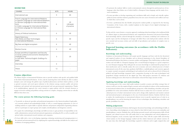| <b>COURSES</b>                                                                                                                                                                                                                                                  | <b>ECTS</b> | <b>HOURS</b>                  |
|-----------------------------------------------------------------------------------------------------------------------------------------------------------------------------------------------------------------------------------------------------------------|-------------|-------------------------------|
| International Law                                                                                                                                                                                                                                               | 9           | 60                            |
| French Language for International Relations<br>or Spanish Language for International Relations<br>or German Language for International Rela-<br>tions<br>or Arabic Language for International Relations<br>or Chinese Language for International Rela-<br>tions | 6           | 20<br>+4h/week<br>of practice |
| History of Political Institutions                                                                                                                                                                                                                               | 6           | 40                            |
| Digital Diplomacy:<br>New Media and New Technologies<br>in International Relations                                                                                                                                                                              | 6           | 40                            |
| Big Data and digital ecosystem                                                                                                                                                                                                                                  | 6           | 40                            |
| <b>Elective Course</b>                                                                                                                                                                                                                                          | 6           | 40                            |
| Europe and Africa Cooperation and Security<br>or Social, political and economic Development<br>of Modern Asia<br>or Soft Skills: Technical English: Drafting of a<br>paper                                                                                      | 3           | 20                            |
| Internship                                                                                                                                                                                                                                                      | 6           |                               |
| <b>Thesis</b>                                                                                                                                                                                                                                                   | 12          |                               |

#### **SECOND YEAR**

#### **Course objectives:**

The Master Degree in International Relations aims to provide students with specific and qualified skills in the field of International Relations. In fact, only by mastering these tools will they be able to analyse, interpret, assess and manage the global scope of political phenomena and their relative policies, as well as general economic and social aspects inherent to the relations among countries, public and private institutions and national and international, governmental and non-governmental organizations. Thanks to its multidisciplinary approach, the course intends to equip students with the essential elements to engage in decision-making and problem-solving activities in complex, changing contexts that are radically different from their own.

#### **The course pursues the following learning goals:**

- To promote the students' skills to work in international contexts through the professional use of two languages other than Italian, one of which shall be a European Union language, and the study of sectoral vocabularies,
- To train specialists to develop negotiating and conciliation skills and to deeply and critically explore political systems and their relations, geopolitical areas, the root causes of tensions and conflicts and ways in which they can be solved,
- To form a professional, but also flexible and proactive student profile, as requested by the Steering Committee of the Course, with a marked emphasis on the impact of new digital technologies on international relations.

To this end, the course features a crosswise approach combining robust knowledge in the traditional fields of a Master degree in International Relations and comprehensive theoretical and practical knowledge. Such knowledge shall be achieved through the attendance of seminars, workshops and conferences on specific topics and the development of stronger soft skills. These tools shall provide students with the now essential and necessary, written and oral skills of specialization and synthesis of complex texts or specific cases.

#### **Expected learning outcomes (in accordance with the Dublin Indicators):**

#### **Knowledge and understanding**

- To provide an advanced, specialist and professional preparation in the historical-political, legal-political, economic-political and methodological fields, as well as a sound language preparation, in view of enabling students to acquire skills to expertly elaborate and promote independent negotiating solutions and/or to participate in expert groups and complex, interdisciplinary and dangerous contexts,
- To acquire the methodologies, knowledge and skills necessary to gain positions of responsibility in the public administration, national and international organisations, including the EU, as well as in public and private bodies, international research institutes and companies,
- To learn skills with a view to developing, organising, evaluating, monitoring and managing projects at the national and international level, by employing the acquired knowledge and skills for the analysis and resolution of emerging problems, **16 17**

Graduates in International Relations will acquire specific languages and basic tools for the theoretical and empirical analysis of every discipline and an advanced preparation in the classical disciplines of International Relations (law, history, economics, politics and language). They shall develop excellent, both written and oral skills in a European language and a second European language or a good competence in a non-European language. They shall gain the necessary knowledge to understand the perspectives of their interlocutors and to critically analyse the socio-economic and socio-cultural processes of today's international society. At the same time, graduates shall follow a multidisciplinary and crosswise approach to acquire essential conceptual, methodological and analytical tools and an advanced level of historical, political and legal knowledge, integrated with a preparation focusing on the main technological and geopolitical changes introduced by the digital age. They shall propose innovative IT solutions and decision-making processes often based on information extracted from large amounts of data.

#### **Applying knowledge and understanding**

The learning goals of the course shall enable students to predict scenarios and define strategic lines of action, as well as to view the empirical legal, economic and social-political evidence of the transformations in international relations from an interdisciplinary perspective, while identifying criticalities and specific possibilities for action and resolution. Students shall also learn to analyse the socio-economic and sociocultural processes of today's international society and to design, draft, implement and monitor national and international projects and programs in the area of international relations. Students shall also learn to analyse the transformations in international relations (even in specific regional areas of crisis) in an interdisciplinary way and by knowing the impact of new technologies, thus identifying criticalities and specific possibilities for action.

#### **Making judgements**

Graduates in International Relations shall integrate theoretical knowledge and methodological skills, in view of providing critical judgments on issues related to their field of study even in new, unfamiliar, and interdisciplinary contexts. Similarly, they will develop personal research and interpretation skills of both linguistic and cultural resources that will enable them to issue independent and critical judgments on historical, linguistic, social, economic, legal and ethical issues. They will also acquire skills and develop critical analysis on the foreign languages studied and the relative historical and cultural contexts. At the same time, they shall apply the knowledge acquired to elaborate and/or apply original ideas and

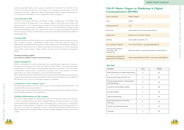# **LM-59 Master Degree in Marketing & Digital Communication (ROME)**

#### **FIRST YEAR**

| Type of program                                           | <b>Master Degree</b>   |
|-----------------------------------------------------------|------------------------|
| Class                                                     | LM-59                  |
| <b>Recognized ECTS</b>                                    | 120                    |
| Admission                                                 | Assessment of          |
| Department                                                | Department of          |
| Address                                                   | Piazza delle Va        |
| <b>Chair of Master Degree</b>                             | Prof. Piero Poli       |
| International Students,<br>enrollment and<br>orienteering | Welcome Offic          |
| International cooperation<br>agreements and Erasmus       | <b>International R</b> |

| <b>COURSES</b>                                                  | <b>ECTS</b> | <b>HOURS</b> |
|-----------------------------------------------------------------|-------------|--------------|
| Web Marketing and Digital Advertising                           | 12          | 60           |
| Business Planning and Start Up                                  | 9           | 40           |
| <b>Communication Metrics - Web Analytics</b><br>and Data Mining | 9           | 40           |
| Corporate Social Responsibility                                 | 9           | 40           |
| <b>Business English</b>                                         | 6           | 60           |
| CRM and Marketing                                               | 6           | 30           |
| Brand Management and Media<br>Planning                          | 6           | 30           |
| Project work: Marketing Plan                                    | 3           | 30           |
| Theology                                                        | 6           | 60           |

curricular requirements

f Human Studies

aschette, 101

lidoro - p.polidoro@LUMSA.it

ce - international.admissions@LUMSA.it

Relations Office - international@LUMSA.it

 $\subset$ 

problem-solving skills, thanks to their capacity to understand the issues related to their field of study. To do this, they shall specifically focus on the diversity of the operating context, the impact of the new technologies and media on diplomatic, cultural and international relations, without losing sight of the social and ethical responsibilities involved in applying knowledge and judgments.

#### **Communication skills**

Graduates in International Relations shall develop excellent communication and flexibility skills up to the mastery of the Italian and the other languages studied in both written and oral form, with particular reference to the economic, legal, sociological, historical and political domains. They shall express themselves understandably and skilfully by means of sectoral and specialized vocabularies, while maintaining methodological rigor, even in themes where they have no specific knowledge. They shall thus interact and engage in diverse and multicultural contexts and acquire political communication skills, also through digital tools.

#### **Learning skills**

Graduates in International Relations shall receive a sound multidisciplinary (historical-political, economic, legal, sociological, language) methodological training, specific self-learning skills, the capacity for independently evaluating their self-learning process and for independently and autonomously working and planning. They shall also learn how to explore and interpret historical processes, to evaluate international economic flows and to scrutinise, evaluate and define the impact of new technologies on international relations.

### **Teaching language: English**

**International mobility: Erasmus and non-Erasmus**

#### **Career prospects:**

Official at international, non-profit, governmental and non-governmental organizations; manager in the industrial and corporate sector; analyst for public and private, Italian or non-Italian, international (academic and non-academic) bodies and institutes, think tanks, research and analysis centres, study centres of multinational companies, offices of professional associations active in the evaluation of countries' political risk, in the analysis of geopolitical scenarios and international politics.

Expert official in the assessment and analysis of scenarios and geopolitical risk for national and multinational companies and professional associations operating in the international arena. Official in the state diplomacy (the diplomatic career can be accessed through competitive examination).

#### **Continuation of the academic career:**

The master degree graduates will also be able to go on to doctoral programs and attend both first- and second-level Masters (post-lauream Masters).

The Master Degree in International relations also ensures the participation in open competition exams for the Italian Public Administration level employment.

#### **Further information on the course**

The faculty is highly qualified and includes both scholars and professionals. Students will experience a variety of teaching and learning methods including traditional and interactive lectures, case studies, seminars, presentations and group project works. Drawing upon direct contacts with for- and non-profit organizations, teaching methods are designed to create a stimulating and practical learning environment. The degree course offers the opportunity to achieve an Italian-French international double degree in Affaires et Négociation Internationales (Master in Langues Etrangères Appliquées) issued by the Université de Lille.

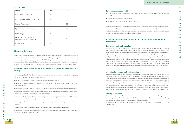#### **SECOND YEAR**

#### **Course objectives:**

The Master degree in Marketing & Digital Communication trains professionals and experts working in the different areas of integrated communication and marketing, with particular attention to digital and social strategies and techniques. Among the main fields of application, there are corporate and institutional communication, digital and multichannel communication, organization and promotion of events, management of the brand, corporate social responsibility, marketing and web marketing, business strategies.

#### **Graduates in the Master degree in Marketing & Digital Communication will develop:**

- methodological skills that allow the creation of communication products e promotional campaigns, integrating offline channels with online channels;
- specialized skills related to advertising techniques and digital advertising;
- methodological skills that allow to manage external and internal communication flows in enterprises and organizations;
- methodological knowledge that allows to plan and manage communication strategies on social media;
- management and organizational knowledge, functional to the definition of the corporate image, maximizing the added value offered by the new technologies;
- skills needed to develop analysis and monitoring activities of the digital communication (data mining, analytics, communication metrics);
- knowledge and skills to carry out tasks of high responsibility within advertising and communication agencies;
- technical and strategic skills necessary for the planning of the integrated communication;
- methodological skills suitable for enhancing the system of international relations and to the implementation of stakeholder engagement policies.

#### **In addition, graduates will:**

- be able to use the main marketing and interactive and digital communication tools in specific areas of expertise;
- have a propensity for internationalization;
- creatively use digital technologies and social media.

The students of the course acquire knowledge and skills in the areas of marketing and business economics, traditional and digital communication, design and management in specific areas (brands, events, sponsorships, fundraising, etc.). The teachings with more theoretical and analytical content are complemented by more specialistic teachings, workshops and internships.

#### **Expected learning outcomes (in accordance with the Dublin Indicators):**

#### **Knowledge and understanding**

The Master's degree course is structured in such a way as to allow, at its end, the acquisition of specialized knowledge and skills allowing high understanding of both the issues addressed and the main strategic approaches in use for the fundamental areas of business communication and marketing, with particular reference to digital and interactive environments. The course, in particular, allows the acquisition of in-depth knowledge in the field of business communication, marketing, traditional and digital media relations. It also aims to develop skills in understanding and interpreting current socio-cultural processes, with particular reference to mutual shaping between technological environments and socio-cultural phenomena, the relationship between the needs of organizations and new fruition and consumption practices, to the characteristics of digital innovation processes and their repercussions at the enterprise level.

#### **Applying knowledge and understanding**

Graduated students will be able to translate acquired knowledge on a practical level and develop specific skills in different areas of communication. In in particular, they will be able to apply the acquired knowledge and skills in the conception, management and organization of communication plans and marketing campaigns, with particular reference to digital strategies and tools; they will be also capable of applying the acquired knowledge in the various operating contexts as for example organization and management of communication and marketing activities, with reference to traditional and interactive media, interpreting their data with autonomous criticism. For this purpose, the degree course offers a series of workshops also held by professionals from the sector (marketing manager, media planner, advertisers, etc.).

#### **Making judgements**

Graduates will gain critical analysis skills in the various areas of the business and marketing communication. In particular, they will be able to critically analyze contents and communication and marketing projects and reworking them in a communicative and managerial key. This competence is also acquired through simulation activities (case studies, simulating games, etc.) and ongoing exams.



| <b>COURSES</b>                                             | <b>ECTS</b> | <b>HOURS</b> |
|------------------------------------------------------------|-------------|--------------|
| <b>Digital Public Relations</b>                            | 6           | 30           |
| Digital Writing and Visual Design                          | 6           | 30           |
| Events Management                                          | 6           | 30           |
| Sponsorship and Fundraising                                | 6           | 30           |
| Web Design                                                 | 6           | 30           |
| Project work: Social Media<br>Management and Web Analytics | 3           | 30           |
| <b>Final Thesis</b>                                        | 21          |              |

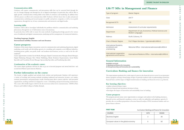#### **General Information**

*Available curricula: 1) Banking and finance for innovation 2) Entrepreneurship and innovation for sustainability*

### **Curriculum: Banking and finance for innovation**

The major prepares graduates for a wide range of careers in the financial services sector. It is an innovative finance program covering a broad range of topics. It provides students with an understanding of both the financial basics and the impact of digital transformation in banking and financial services (e.g. fintech).

#### **Key learning objectives:**

- explore advanced finance topics
- discover financial and investment decisions in firms
- Investigate the impact of innovation and sustainability issues in banking

#### **Career prospects**

The program presents many career opportunities as managers and analysts in the banking, insurance, financial services and financial consultancy sectors as well as in authorities and regulatory agencies. It provides also an excellent preparation to become financial analysts, CFOs, investment bankers and corporate finance advisors.

| $\cdots$ $\cdots$<br>ֿי |  |  |
|-------------------------|--|--|

## **LM-77 MSc in Management and Finance**

**FIRST YEAR**



| Type of program                                           | <b>Master Degree</b>                                                     |
|-----------------------------------------------------------|--------------------------------------------------------------------------|
| Class                                                     | $LM-77$                                                                  |
| <b>Recognized ECTS</b>                                    | 120                                                                      |
| Admission                                                 | Assessment of curricular requirements                                    |
| Department                                                | Department of Law, Economics, Political Sciences and<br>Modern Languages |
| Address                                                   | Via M. Colonna, 19                                                       |
| <b>Chair of Master Degree</b>                             | Prof. Filippo Giordano - f.giordano@LUMSA.it                             |
| International Students,<br>enrollment and<br>orienteering | Welcome Office - international.admissions@LUMSA.it                       |
| International cooperation<br>agreements and Erasmus       | International Relations Office - international@LUMSA.it                  |

### **Curriculum: Banking and finance for innovation**

#### **Communication skills**

Graduates will acquire communicative and presentation skills that can be exercised both through the use of a foreign language and through the use of digital technologies. In particular, they will be able to apply specific communication writing skills in the fields of commerce and marketing. In addition they will also possess excellent oral communication skills. Graduates will also know how to plan and present communication, marketing and research projects in public and private companies as well as in no-profit organizations, through the use of mass communication and interactive and digital media.

#### **Learning skills**

Graduates will be able to investigate individually the problems related to communication and marketing phenomena, through the use of information sources documentary.

In particular, they will be able to master the main methods of updating knowledge spread in the various areas of traditional and digital communication, marketing and the management of commercial initiatives.

#### **Teaching language: English**

**International mobility: Erasmus and non-Erasmus**

#### **Career prospects:**

| <b>COURSES</b>                        | ECTS | <b>HOURS</b> |     |
|---------------------------------------|------|--------------|-----|
| <b>Business English</b>               |      | $\sim$<br>40 |     |
| European values in the global economy |      | $\cup$       | - - |



Graduates of this master degree may pursue careers in communication and marketing departments, digital marketing, social media and advertising agencies, in consulting and companies across different industries, including private, public, non-profit, small- and medium-sized business, services, as well as for the selfemployed.

Career opportunities include: Social Media, Manager, Digital Communication Manager, Brand Manager, Digital Marketing Manager, New Media Publishing, Media Relations Representative, Social Media Specialist and Consultant, Events Manager, Sponsorship Specialist, and Fundraising Specialist.

#### **Continuation of the academic career:**

The master degree graduates will also be able to go on to doctoral programs and attend both first- and second-level Masters (post-lauream Masters).

#### **Further information on the course**

The faculty is highly qualified and includes both scholars and professionals. Students will experience a variety of teaching and learning methods including traditional and interactive lectures, case studies, seminars, presentations, and group project works. Drawing upon direct contacts with for- and non-profit organizations, teaching methods are designed to create a stimulating and practical learning environment. The course offer double degrees with L'école des nouveaux métiers de la communication - EFAP in Paris (France) and Griffith College in Dublin (Ireland).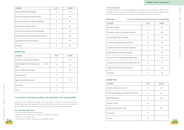| <b>COURSES</b>                                   | <b>ECTS</b> | <b>HOURS</b> |
|--------------------------------------------------|-------------|--------------|
| Innovation in banking and fintech                | 6           | 40           |
| Risk management in banking and<br>insu-<br>rance | 6           | 40           |
| Venture capital and valuation                    | 6           | 40           |
| Elective course                                  | 12          |              |
| Digital transformation Lab                       | 3           | 30           |
| Internship                                       | 8           |              |
| <b>Thesis</b>                                    | 15          |              |

### **Curriculum: Entrepreneurship and innovation for sustainability**

#### **Key learning objectives:**

- Learn key corporate functions and processes
- Acquire innovation skills necessary to generate original and innovative solutions for a sustainable society
- Develop skills to evaluate and formulate sustainability strategies

| Curriculum: Entrepreneurship and innovation for sustainability<br><b>FIRST YEAR</b> |             |              |
|-------------------------------------------------------------------------------------|-------------|--------------|
| <b>COURSES</b>                                                                      | <b>ECTS</b> | <b>HOURS</b> |
| <b>Business English</b>                                                             | 3           | 40           |
| European values in the global economy                                               | 9           | 60           |
| Financial reporting and analysis                                                    | 6           | 40           |
| Financial management and markets                                                    | 9           | 60           |
| European approach to Better Regulation                                              | 6           | 40           |
| Data analysis for decisions making                                                  | 7           | 60           |
| Economics of innovation and sustainabilit                                           | 6           | 40           |
| Entrepreneurship and new business start up                                          | 6           | 40           |
| Organizational design and behavior                                                  | 6           | 40           |
| Theology                                                                            | 6           | 30           |

#### **SECOND YEAR**

#### **SECOND YEAR**

#### **DEGREE TAUGHT IN ENGLISH**

| <b>COURSES</b>                             | <b>ECTS</b> | <b>HOURS</b> |
|--------------------------------------------|-------------|--------------|
| Financial reporting and analysis           | 6           | 40           |
| Financial management and markets           | 9           | 60           |
| European approach to Better Regulation     | 6           | 40           |
| Statistical methods for finance            | 7           | 60           |
| Economics of innovation and sustainability | 6           | 40           |
| Entrepreneurship and new business startup  | 6           | 40           |
| Sustainable investment banking             | 6           | 40           |
| Theology                                   | 6           | 30           |

### **Career prospects**

The program provides an excellent preparation for management careers at companies of different sizes, operating in various sectors at local or global levels. The program provides an excellent preparation for jobs in new business development and start-ups, sustainability and innovation consultancy.

| Internship                                                                                                                                                                                                     | 8  | <b>COURSES</b>                               | <b>ECTS</b> | <b>HOURS</b> |
|----------------------------------------------------------------------------------------------------------------------------------------------------------------------------------------------------------------|----|----------------------------------------------|-------------|--------------|
|                                                                                                                                                                                                                |    | Business models innovation                   | h           | 40           |
| Thesis                                                                                                                                                                                                         | 15 | Corporate strategy and social responsibility | 6           | 40           |
| Curriculum: Entrepreneurship and innovation for sustainability                                                                                                                                                 |    | <b>Digital Marketing</b>                     | 6           | 40           |
| This major aims at preparing the leaders of the future who are innovative and capable of creating<br>breakthrough strategies and sustainable business models. Students will acquire entrepreneurial skills and |    | Elective course                              | 12          |              |
| become familiar with advancements in the theory and practice of innovation and sustainability.                                                                                                                 |    | Digital transformation Lab                   |             | 30           |
| Key learning objectives:<br>• Learn key corporate functions and processes<br>• Acquire innovation skills necessary to generate original and innovative                                                         |    | Internship                                   | 8           |              |
| solutions for a sustainable society<br>• Develop skills to evaluate and formulate sustainability strategies                                                                                                    |    | Thesis                                       | 15          |              |
|                                                                                                                                                                                                                |    |                                              |             |              |



| г                       |
|-------------------------|
| C                       |
| $\leq$                  |
| S                       |
|                         |
| ⋗                       |
| $\overline{\mathbf{u}}$ |
| $\circ$                 |
|                         |
| ヵ                       |
| ۰                       |
| Z                       |
| ┥                       |
| $\Box$                  |
| ᅎ                       |
| Z                       |
|                         |
| $\triangleright$        |
| ⊣                       |
| O                       |
|                         |
| Z                       |
| $\triangleright$        |
| Ē                       |
|                         |
| U<br>ገ                  |
| H<br>۰                  |
| Ξ<br>C                  |
| $\Box$                  |
| $\Box$                  |
| Z                       |
| $\rightarrow$           |
| <u>ທ</u>                |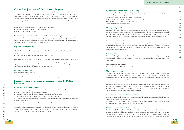## **Overall objectives of the Master degree:**

The MSc in Management and Finance (MMF) aims to train graduates with specific and qualified skills in management and finance required to operate as manager and consultant for companies, financial institutions and public administrations. It offers an international learning path in which functional and sectoral knowledge are integrated into the themes of innovation and sustainability, preparing graduates to take on managerial roles with full awareness of the economic, social and environmental challenges of the 21st century.

- The 24-month program proposes two curricula taught in English:
- Entrepreneurship and Innovation for Sustainability
- Banking and Finance for Innovation

**The curriculum in Entrepreneurship and Innovation for Sustainability (EIS)** aims at preparing the leaders of the future who are innovative and capable of creating breakthrough strategies and sustainable business models. Students will acquire entrepreneurial skills and become familiar with advancements in the theory and practice of innovation and sustainability.

#### **Key learning objectives:**

• Learn key corporate functions and processes

• Acquire innovation skills necessary to generate original and innovative solutions for a sustainable society

• Develop skills to evaluate and formulate sustainability strategies

**The curriculum in Banking and Finance for Innovation (BFI)** prepares graduates for a wide range of careers in the financial services sector. It is an innovative finance program covering a broad range of topics. It provides students with an understanding of both the financial basics and the impact of digital transformation in banking and financial services (e.g. fintech).

#### **Key learning objectives:**

- Explore advanced finance topics
- Discover financial and investment decisions in firms
- Investigate the impact of innovation and sustainability issues in banking

#### **Expected learning outcomes (in accordance with the Dublin Indicators):**

#### **Knowledge and understanding**

With regard to knowledge and comprehension skills, Management and Finance graduates will:

- 1) know the logics and tools for business management;
- 2) possess the quantitative tools to make decisions in conditions of uncertainty;
- 3) understand the economic and legal context in which businesses operate;

4) be aware of the social and environmental impacts of economic activity and the importance of sustainable economic development;

5) understand the role of innovation in business processes and in the economic system.

Knowledge and understanding are achieved, with the traditional study of texts and teaching materials, as well as through participation in lectures, exercises, seminars and workshop, supplemented also by specific case studies analysis with the involvement of external experts.

#### **Applying knowledge and understanding**

With regard to the ability to apply knowledge and understanding described above, the learning objectives aim to enable graduates to acquire the ability to:

 $\sim$  $\sim$  $\circ$  $\sim$ 

 $\sim$  $\circ$  $\overline{\mathsf{N}}$  $\alpha$ 

- operate and provide advice in the various business areas;
- implement and verify compliance with the relevant legislation;
- analyze data and information of an economic nature;
- apply the relevant mathematical tools.

#### **Making judgements**

Graduates will acquire the skills to make judgements and develop autonomous thinking about the various questions and issues connected with management. They will have an entrepreneurial approach and problem-solving mentality. Graduates will acquire the knowledge to manage complexity and integrate considerations and assessments regarding social responsibility and ethics in decision making.

#### **Communication skills**

Graduates will be able to express themselves in written and oral English. They will have the capacity to develop relationships and analyze complex problems. They will also be able to effectively expound their own conclusions in relation to studies and analyses and will have the capacity to work in groups and manage stress and conflict situations.

#### **Learning skills**

Graduates will acquire learning skills that allow them to be autonomous in updating and developing their knowledge and competences related to business and main managerial issues, financial markets and institutions.

#### **Teaching language: English**

**International mobility: Erasmus and non-Erasmus**

#### **Career prospects:**

Curriculum in Entrepreneurship and Innovation for Sustainability provides an excellent preparation for management careers at companies of different sizes, operating in various sectors at local or global levels. The program provides an excellent preparation for jobs in new business development and start-ups, sustainability and innovation consultancy.

Curriculum in Banking and Finance for Innovation presents many career opportunities as managers and analysts in the banking, insurance, financial services and financial consultancy sectors as well as in authorities and regulatory agencies. It provides also an excellent preparation to become financial analysts, CFOs, investment bankers and corporate finance advisors.

#### **Continuation of the academic career:**

The master degree graduates will also be able to go on to doctoral programs and attend both first- and second-level Masters (post-lauream Masters).

The Master Degree in Management and Finance also ensures the participation in open competition exams for the Italian Public Administration level employment.

#### **Further information on the course**

The faculty is highly qualified and includes both scholars and professionals. Students will experience a variety of teaching and learning methods including traditional and interactive lectures, case studies, seminars, presentations and group project works. Drawing upon direct contacts with for- and non-profit organizations, teaching methods are designed to create a stimulating and practical learning environment.

#### **DEGREE TAUGHT IN ENGLISH**

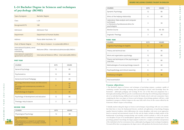# **L-24 Bachelor Degree in Sciences and techniques of psychology (ROME)**

| Type of program                                             | <b>Bachelor Degree</b>                                  |
|-------------------------------------------------------------|---------------------------------------------------------|
| Class                                                       | $L-24$                                                  |
| <b>Recognized ECTS</b>                                      | 180                                                     |
| Admission                                                   | Admission Test                                          |
| Department                                                  | Department of Human Studies                             |
| Address                                                     | Piazza delle Vaschette, 101                             |
| <b>Chair of Master Degree</b>                               | Prof. Marco Costanzi - m.costanzi@LUMSA.it              |
| International Students, enrol-<br>Iment and<br>orienteering | Welcome Office - international.admissions@LUMSA.it      |
| International cooperation<br>agreements and Erasmus         | International Relations Office - international@LUMSA.it |

#### **FIRST YEAR**

| <b>COURSES</b>                                                                                              | <b>ECTS</b> | <b>HOURS</b>   |
|-------------------------------------------------------------------------------------------------------------|-------------|----------------|
| General Psychology                                                                                          | 12          | 80             |
| Psychometrics                                                                                               | 12          | 80             |
| <b>General and Social Pedagogy</b>                                                                          | 6           | 40             |
| Sociology (theoretical issues and discussion)<br>or<br>Sociology and contemporary societies (in<br>English) | 9           | 60<br>or<br>40 |
| Psychobiology (in English)                                                                                  | 6           | 30             |
| Psychology of development and education                                                                     | 12          | 80             |
| Theology: Holy Scripture                                                                                    | 3           | 40             |

| <b>COURSES</b>                                                                                                                     | <b>ECTS</b> | <b>HOURS</b>   |
|------------------------------------------------------------------------------------------------------------------------------------|-------------|----------------|
| Physiological Psychology                                                                                                           | 12          | 80             |
| Social Psychology<br>or<br>New directions in research on well-being:<br>Psychological process in everyday contexts<br>(in English) | 12          | 80<br>or<br>60 |

#### **SECOND YEAR**

| <b>COURSES</b>                                          | <b>ECTS</b> | <b>HOURS</b> |
|---------------------------------------------------------|-------------|--------------|
| <b>Cognitive Psychology (in English)</b>                | 6           | 30           |
| Theory and technical test                               | 6           | 40           |
| Work and organization psychology                        | 12          | 80           |
| Theory and techniques of the psychological<br>interview | 12          | 80           |
| Methodologies of social psychology research             | 6           | 40           |
| Psychopathology and clinical reasoning                  | 6           | 40           |
| <b>Proficiency in English</b>                           | 6           | 40           |
| Final examination                                       | 6           |              |

LUMSA FOR INTERNATIONAL STUDENTS  $\subset$  $\leq$  $\mathsf{C}$  $\triangleright$  $\overline{\mathrm{m}}$  $\circ$  $\pmb{\pi}$  $\equiv$  $\mathsf Z$  $\rightarrow$  $\overline{\rm m}$  $\mathbf{z}$  $\mathsf Z$  $\blacktriangleright$  $\rightarrow$  $\circ$  $\mathsf Z$  $\triangleright$  $\overline{\phantom{a}}$  $\Omega$  $\rightarrow$  $\subset$  $\bigcirc$  $\overline{\rm m}$  $\mathsf Z$  $\rightarrow$  $\overline{u}$ 



### **Course objectives:**

 $\sim$ 

1. The Bachelor's degree in Sciences and techniques of psychology prepares a graduate capable of combining scientific knowledge stemming from psychological research with knowledge from the humanities - philosophy, pedagogy and sociology. At the core of this three-year programme lies a thorough understanding of the bio-psycho-social dimensions that shape the well-being and psychological risk of an individual during childhood and everyday life (family, school, work and community). Upon completing the three-year degree in Sciences and techniques of psychology, graduates will have a solid foundation to progress to Master's degrees in the same field, with a focus on the courses offered by the University's Master's degree in Psychology.

| <b>COURSES</b>                                                                                                  | <b>ECTS</b> | <b>HOURS</b> |
|-----------------------------------------------------------------------------------------------------------------|-------------|--------------|
| Dynamic Psychology                                                                                              | 12          | 80           |
| Ethics of the helping relationship                                                                              | 6           | 40           |
| Laboratory: Data analysis and computer<br>techniques<br>or Elements of professional ethics for<br>psychologists | 3           | 30           |
| <b>Elective Course</b>                                                                                          | 12          | $40 - 80$    |
| Dogmatic Theology                                                                                               | 3           | 40           |
| THIRD YEAR                                                                                                      |             |              |
|                                                                                                                 |             |              |
| <b>COURSES</b>                                                                                                  | <b>ECTS</b> | <b>HOURS</b> |
| Cognitive Psychology (in English)                                                                               | 6           | 30           |
| Theory and technical test                                                                                       | 6           | 40           |
| Work and organization psychology                                                                                | 12          | 80           |
| Theory and techniques of the psychological<br>interview                                                         | 12          | 80           |
| Methodologies of social psychology research                                                                     | 6           | 40           |
| Psychopathology and clinical reasoning                                                                          | 6           | 40           |

2. Initially, students taking the degree in Sciences and techniques of psychology will carry out activities that help them to learn the fundamental theories, methods and applications of psychology, bringing together historical tradition, which differentiates the various disciplines, with more recent approaches based on national and international research. To this end, the degree includes in-depth analysis of the fundamentals of psychology, neuropsychology and scientific research methods, as well as the specific core disciplines. As part of an interdisciplinary approach, which is considered an essential aspect of any psychology graduate's knowledge, the degree prepares students for a complex and holistic interpretation Of the individual in his/her environment, from a philosophical, pedagogical and sociological standpoint. To round off the three-year programme, the degree aims to offer graduates the theoretical and technical-

#### **DEGREE INCLUDING COURSES TAUGHT IN ENGLISH**

| <b>ECTS</b> | <b>HOURS</b> |
|-------------|--------------|
| 12          | 80           |
| 6           | 40           |
| 3           | 30           |
| 12          | $40 - 80$    |
| 3           | 40           |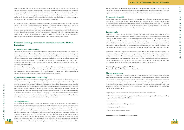scientific expertise of related and complementary disciplines, as well as providing them with the necessary skills for international scientific communication, which are constantly kept up-to-date thanks to English language training. In addition, workshops and internships aim to help students acquire skills and become familiar with the primary career paths of psychology graduates (clinical, educational and professional), as well as developing their sense of professional ethics. Lastly, in line with the University's guiding principles, the degree also aims to educate students in the basic aspects of theology.

3. The specific training objectives of the three-year degree course are divided into 19 training modules (exams to be taken), 1 English language qualification, 1 laboratory activity of psychology applied to professional contexts with training value. The path is divided in three years in which the courses are progressively programmed on the basis of the best propaedeuticity, the gradual complexity and consistency between the different disciplinary sectors. The agreements stipulated with other European universities guarantee the student the possibility to complete, during the three-year period, an international psychological training with the relative recognition of the training credits gained abroad.

#### **Expected learning outcomes (in accordance with the Dublin Indicators):**

#### **Knowledge and understanding**

Graduates in Psychological Sciences and Techniques must acquire: the fundamentals and methods of scientific inquiry; core knowledge of different areas of psychology; interdisciplinary knowledge of philosophy, pedagogy and sociology; suitable technical-scientific knowledge in related and complementary subjects. Moreover, the degree is designed to progress gradually in terms of the knowledge acquired and its complexity, allowing students to learn and develop their ability to understand the topics in question. The degree will be taught mainly through lectures, accompanied where necessary by research and individual and group exercises.

This is complemented by a large amount of time dedicated to personal study, as required by law and the University's regulations. Students' knowledge and understanding will normally be tested through oral examinations. Where necessary, these will be supplemented by written tests - either open-ended or multiple choice, depending on the characteristics of the subject in question.

#### **Applying knowledge and understanding**

The graduate in Sciences and techniques of psychology will be able to apply basic, characterizing, related and integrative knowledge to understand the psychological needs coming from three specific application contexts (community, schools and working environments) for which the application experiences with the teachings, laboratory activities internships will favor the acquisition of greater applicative capacity. Punctual knowledge is expected regarding ethics and professional ethics applied to the contexts of intervention. The graduate will also have the ability to apply knowledge and methods of analysis and understanding of contexts and individuals for the analysis of the people's needs; the realization and implementation of prevention interventions and research projects for the psychological well-being of individuals, with particular attention to communities, schools and working environments.

#### **Making judgements**

accompanied by the use of methodological tools in workshops, seminars, and practical internships/on the job training. Students will be assessed on whether they have achieved this objective through a final test, supervised practical activities, oral examinations and discussions (one-on-one or in groups).

#### **Communication skills**

The graduate must have acquired the ability to formulate and effectively communicate information, ideas, problems and solution strategies. This communicative ability, both oral and written, must be able to adapt to specialist and non-specialist interlocutors and to different communicative uses. The objective will be pursued thanks to the conduct of oral interviews and above all group work and participation in seminar and recreational activities promoted by the University.

#### **Learning skills**

Graduates in Sciences and techniques of psychology will develop a suitable study and research method, both individually and in collaboration with their peers. Developing an effective study method involves learning to plan, monitor and self-assess learning processes with the aim of achieving clear and well defined objectives. Study techniques and strategies must be managed in accordance with the difficulty of the disciplines in question and the individual's learning profile. In addition, critical-thinking, information retrieval, the ability to use classification and indexing tools and consult catalogues, and focused Internet browsing all play a significant role in supporting effective and independent learning.

Thanks to their methodological studies, productive on the job training and the research needed to produce their final dissertation, graduates in Sciences and techniques of psychology will have many skills: documentation, observation (structured and unstructured), empirical research, and textual analysis, along with the ability to use suitable language, be it technical/scientific, axiological or epistemic. These skills will allow graduates to form independent judgements, free from prejudices and stereotypes insofar as this is possible, which will be crucial to their scientific and humanistic understanding and interpretation of the social and cultural context in which they live and work. This goal will also be achieved through the preparation and writing of the final dissertation, which represents the most important opportunity for each graduate to personally reinterpret what they have learned from the course's curriculum. This will be **30 31**

This degree assumes and requires that students are aware of their own abilities and their cognitive and emotional intelligence with regard to studying, and beyond that in terms of lifelong learning. Students' ability to learn in a critical manner will largely be assessed by examinations conducted through discussions with teachers, reports and open-ended written tests. The final examination, in addition to thoroughly testing students' capacity to express their own critical considerations both in writing and orally, will evaluate their ability to use research tools, with a focus on bibliographical research.

**Teaching language: English and Italian International mobility: Erasmus and non-Erasmus**

#### **Career prospects:**

Graduates in Sciences and techniques of psychology will be capable, under the supervision of a senior psycologist, of undertaking professional roles in public and private organisations dedicated to psychological research, to program psychosocial support for individuals and groups, psychometric assessment, human resource management, organisational development, training, support and health promotion. More specifically, graduates of this degree, after successfully passing the State Examination and being admitted to Register B of the Order of Psychologists, can apply for roles matching their professional profile in the following areas:

• rehabilitation centres aired at treating psychological issues and pathological addictions and providing



- psychological services in mental health departments for children and adolescents;
- support for those living with disabilities;
- caring services;
- psychological assessment and diagnosis centres;
- school psychological services;
- human resource management centers.

#### **Continuation of the academic career: LM51**

#### **DEGREE INCLUDING COURSES TAUGHT IN ENGLISH**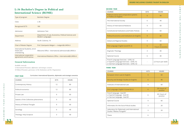# **L-36 Bachelor's Degree in Political and International Science (ROME)**

| Type of program                                             | <b>Bachelor Degree</b>                                                   |
|-------------------------------------------------------------|--------------------------------------------------------------------------|
| Class                                                       | L-36                                                                     |
| <b>Recognized ECTS</b>                                      | 180                                                                      |
| Admission                                                   | <b>Admission Test</b>                                                    |
| Department                                                  | Department of Law, Economics, Political Sciences and<br>Modern Languages |
| Address                                                     | Via M. Colonna, 19                                                       |
| <b>Chair of Master Degree</b>                               | Prof. Giampaolo Malgeri - malgeri@LUMSA.it                               |
| International Students, enrol-<br>Iment and<br>orienteering | Welcome Office - international.admissions@LUMSA.it                       |
| International cooperation<br>agreements and Erasmus         | International Relations Office - international@LUMSA.it                  |

| <b>COURSES</b>                         | <b>ECTS</b> | <b>HOURS</b> |
|----------------------------------------|-------------|--------------|
| <b>Contemporary History</b>            | 12          | 80           |
| Political economics                    | 12          | 80           |
| Private Law                            | 9           | 60           |
| Statistic of the Collectives phenomena | 9           | 60           |
| History of Political Thought           | 9           | 60           |
| Sociology                              | 6           | 40           |
| Theology: Holy Scripture               | 3           | 40           |

Available curricula:

1) International Dynamics, diplomatic and strategic scenarios

2) Political Dynamics, governance of the Institutions and the Organizations

### **General Information**

| <b>COURSES</b>                                                                                                              | <b>ECTS</b> | <b>HOURS</b>              |
|-----------------------------------------------------------------------------------------------------------------------------|-------------|---------------------------|
| Political science and comparative systems<br>or Politics (in English)                                                       | 6           | 40                        |
| The International Society                                                                                                   | 6           | 40                        |
| History of International Relations                                                                                          | 9           | 60                        |
| <b>Constitutional Institutions and Public Policies</b>                                                                      | 9           | 60                        |
| Political Economics and Institutions (in English)                                                                           | 9           | 40                        |
| Global and Regional Studies                                                                                                 | 9           | 60                        |
| First Language: English (Level B1.2)                                                                                        | 6           | 20<br>+ hours of practice |
| Dogmatic Theology                                                                                                           | 3           | 40                        |
| <b>Optional Course</b>                                                                                                      | 6           | 40                        |
| French Language Exercises - LEVEL A2<br>or Spanish Language Exercises - LEVEL A2<br>or German Language Exercises - LEVEL A2 |             | 2,5 hours per week        |

#### **FIRST YEAR Curriculum: International Dynamics, diplomatic and strategic scenarios**

#### **SECOND YEAR**

| <b>COURSES</b>                                                                                | <b>ECTS</b> | <b>HOURS</b>                |
|-----------------------------------------------------------------------------------------------|-------------|-----------------------------|
| European Union Law (in English)                                                               | 9           | 60                          |
| Security and Strategic Studies (in English)                                                   | 6           | 40                          |
| Institutes of International Law                                                               | 9           | 60                          |
| First Language: English II (Level B2.2)                                                       | 6           | $20 +$ hours of<br>practice |
| French language - level B1<br>or Spanish language - level B1<br>or German language - level B1 | 6           | 20+ hours of<br>practice    |
| Optional Course                                                                               | 9           | 60                          |
| Informatics for the Socio-Polical studies                                                     | 3           | 20                          |
| Laboratory for Diplomatic and International<br>Studies "Matteo Pizzigallo"                    | 3           | 20                          |
| <b>Thesis</b>                                                                                 | 6           |                             |

#### **THIRD YEAR**

#### First Language: English II (Level B2.2)

#### **DEGREE INCLUDING COURSES TAUGHT IN ENGLISH**





 $\sim$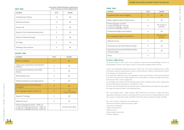| <b>FIRST YEAR</b> |  |
|-------------------|--|

| <b>COURSES</b>                         | <b>ECTS</b> | <b>HOURS</b> |
|----------------------------------------|-------------|--------------|
| <b>Contemporary History</b>            | 12          | 80           |
| Political economics                    | 12          | 80           |
| Private Law                            | 9           | 60           |
| Statistic of the Collectives phenomena | 9           | 60           |
| History of Political Thought           | 9           | 60           |
| Sociology                              | 6           | 40           |
| Theology: Holy Scripture               | 3           | 40           |

| <b>COURSES</b>                                                                                                              | <b>ECTS</b> | <b>HOURS</b>              |
|-----------------------------------------------------------------------------------------------------------------------------|-------------|---------------------------|
| Politics (in English)                                                                                                       | 6           | 40                        |
| Trade-union movements and industrial<br>relations                                                                           | 6           | 40                        |
| <b>Constitutional Institutions and Public</b><br>Policies                                                                   | 9           | 60                        |
| Administrative Law                                                                                                          | 9           | 60                        |
| Political Institutions and Organizations                                                                                    | 9           | 60                        |
| <b>Political Economics and Institutions</b><br>(in English)                                                                 | 9           | 60                        |
| First Language: English (Level B1.2)                                                                                        | 6           | 20<br>+ hours of practice |
| Dogmatic Theology                                                                                                           | 3           | 40                        |
| <b>Optional Course</b>                                                                                                      | 6           | 40                        |
| French Language Exercises - LEVEL A2<br>or Spanish Language Exercises - LEVEL A2<br>or German Language Exercises - LEVEL A2 |             | 2,5 hours per week        |

#### **SECOND YEAR**

| <b>COURSES</b>                                                                                | <b>ECTS</b> | <b>HOURS</b>             |
|-----------------------------------------------------------------------------------------------|-------------|--------------------------|
| European Union Law (in English)                                                               | 9           | 60                       |
| Media, Digital Society and Democracy                                                          | 6           | 40                       |
| French language - level B1<br>or Spanish language - level B1<br>or German language - level B1 | 6           | 20+ hours of<br>practice |
| Fundamental Rights and Freedom                                                                | 9           | 60                       |
| First Language: English II (Level B2.2)                                                       | 6           | 20+ hours of<br>practice |
| <b>Optional Course</b>                                                                        | 9           | 60                       |
| Informatics for the Socio-Political Studies                                                   | 3           | 20                       |
| Laboratory for Social and Political Studies<br>"Vincenzo Saba"                                | 3           | 20                       |
| Thacic                                                                                        | $\sqrt{2}$  |                          |

| <b>COURSES</b>                                                                                | <b>ECTS</b> | <b>HOURS</b>             |
|-----------------------------------------------------------------------------------------------|-------------|--------------------------|
| European Union Law (in English)                                                               | 9           | 60                       |
| Media, Digital Society and Democracy                                                          | 6           | 40                       |
| French language - level B1<br>or Spanish language - level B1<br>or German language - level B1 | 6           | 20+ hours of<br>practice |
| Fundamental Rights and Freedom                                                                | 9           | 60                       |
| First Language: English II (Level B2.2)                                                       | 6           | 20+ hours of<br>practice |
| <b>Optional Course</b>                                                                        | 9           | 60                       |
| Informatics for the Socio-Political Studies                                                   | 3           | 20                       |
| Laboratory for Social and Political Studies<br>"Vincenzo Saba"                                | 3           | 20                       |
| Thesis                                                                                        | 6           |                          |



#### **THIRD YEAR**

#### **Course objectives:**

The general objective of the course is the acquisition of theoretical and methodological tools, of an interdisciplinary character in the legal, economic, social, historical-political fields, useful for:

 $\sim$ 

a) know and understand institutional structures, formal rules and decision-making processes within contemporary political and government systems, in their historical evolution, with particular reference to the European and international context;

b) to deepen the political processes with appropriate analysis tools, focusing on the historical elements at the basis of the governance models adopted, on the social, political, economic and legal characteristics that determine their current configuration;

c) to investigate issues related to the functioning and governance of political and economic organizations and social representation operating in contemporary society; d) to know the functioning of the international system, considered both systemically and with regard to the foreign and domestic politics of the individual States.

The course proposal aims to offer, therefore, skills useful both for insertion in public and private organizations, operating at national or international level, and to provide an adequate platform for those who intend to continue their studies and further refine their already acquired knowledge and skills.

The course of study is divided into six learning areas:

- International relations, global and strategic studies
- Economics and Statistics
- Politics and institutions
- Political science
- History, politics and society
- Modern languages.

**Curriculum: Political Dynamics, governance of the Institutions and the Organizations**

#### **DEGREE INCLUDING COURSES TAUGHT IN ENGLISH**

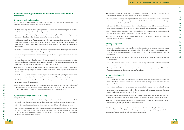#### **Expected learning outcomes (in accordance with the Dublin Indicators):**

#### **Knowledge and understanding**

The graduate is able to understand the political-institutional, legal, economic and social dynamics that operate in contemporary societies. In particular, the graduate:

- has basic knowledge in the multidisciplinary field and, in particular, in the historical-political, politicalinstitutional, economic, political and sociological fields;
- possesses the analytical knowledge to understand and interpret, in its different aspects, the socioeconomic, political and cultural processes that affect the current world;
- will be able to analyze the functioning, formal rules and decision-making processes of politicalinstitutional systems, administrative structures and contemporary political and social representative organizations, studied in their historical evolution also with reference to European and international experiences;
- knows the issues related to the processes of formation and implementation of public policies within the administrative apparatus of the state and European institutions;
- will know the general functioning of an economic system, closed and open, and of macro-economic policies;
- includes the appropriate political systems with appropriate analysis tools, focusing on the historical elements underlying the models of government adopted, on the social, political, economic and institutional characteristics that determine their current configuration;
- has the ability to continuously acquire and process data and information through IT, institutional and research centers, placing them in their historical evolution and enhancing their multidisciplinary implications;
- knows the Italian, European and non-European political-institutional history, with particular reference to the main transformations that occurred after the second half of the nineteenth century;
- has the transversal and soft skills necessary for a not only theoretical but concrete and applicative approach to the knowledge acquired;
- achieves a level of full autonomy in the understanding and in the written and oral production of English, and a level of autonomy in the understanding and in the written and oral production of a second European foreign language (choice between French or Spanish or German).

#### **Applying knowledge and understanding**

The graduate will:

- possess the basic techniques for the qualitative and quantitative study of collective phenomena and will be capable of developing reports to identify the solution of the problems emerging from the study;
- will be able to understand and interpret the political-economic debate with sufficient precision;
- will posees the fundamental knowledge of methodological, statistical and economic tools to study and will be able to understand economic and social phenomena as well as to provide public bodies or private companies and political-social organizations all the necessary elements on the basis of which these bodies can take the appropriate decisions;
- will be capable of contributing operationally to the achievement of the policy objectives of the administrations and political-social organizations in which it operates;
- will be capable of evaluating and interpreting the role and meaning of the historical-political movements that have come about on the world stage, will be able to decode the links between internal and foreign policy and can apply them to individual case studies;
- will have soft-skills in the management of socio-political data and in the field of process analysis that allow to contribute effectively to the activities of political and social representation organizations;
- will be able to read and understand a text, even complex, written in English and to express a clear and detailed thought in English in full autonomy, in written and oral form;
- will be able to express independently, in written and oral form, a thought in a second European foreign language (French or Spanish or German).

#### **Making judgements**

The graduate:

- thanks to a multidisciplinary and multidimensional preparation in the juridical, economic, social, historical-political, international and political fields, will be able to move with sufficient agility between multiple themes, using analysis conceptually articulated and supported by good empirical foundations;
- will be able to express reasoned and logically guided opinions in support of the analyzes, even in specific contexts;
- will be able to approach the observed phenomena, combining the knowledge and notions acquired with an adequate critical spirit;
- having understood the complexity of social, political and economic phenomena, will be able to formulate opinions using distinct expressions of knowledge.

#### **Communication skills**

The graduate:

- will be able to present orally data, information and ideas on individual thematic areas relevant to the course of study in a clear way, with appropriate lexicon and respecting the relationship between the general levels of the speech;
- will be able to modulate to a certain extent the communication register based on its interlocutors;
- in contexts of medium complexity, will be able to interact with competent subjects in the main sectors in which the course of study is divided;
- will manage to expose thought in written and oral form, with an adequately structured and recognizable speech in its logical parts, and is therefore capable of communicating content of medium difficulty;
- will use the English language independently in written and oral form and independently another European foreign language (French or German or Spanish).

The training is also integrated with two laboratories (of international and diplomatic studies and of social and political studies), which aim to develop participatory teaching methodologies, useful for the acquisition of transversal and soft skills related to communication.

#### **DEGREE INCLUDING COURSES TAUGHT IN ENGLISH**

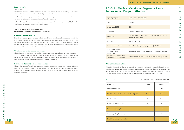## **LMG/01 Single cycle Master Degree in Law - International Program (Rome)**

| Type of program                                           | Single cycle Master Degree                                               |
|-----------------------------------------------------------|--------------------------------------------------------------------------|
| Class                                                     | LMG/01                                                                   |
| <b>Recognized ECTS</b>                                    | 300                                                                      |
| Admission                                                 | Selection interviews                                                     |
| Department                                                | Department of Law, Economics, Political Sciences and<br>Modern Languages |
| Address                                                   | Via M. Colonna, 19                                                       |
| <b>Chair of Master Degree</b>                             | Prof. Paola Spagnolo - p.spagnolo@LUMSA.it                               |
| International Students,<br>enrollment and<br>orienteering | Welcome Office - international.admissions@LUMSA.it                       |
| International cooperation<br>agreements and Erasmus       | International Relations Office - international@LUMSA.it                  |

#### **Learning skills**

The graduate:

- will be aware of the need for continuous updating and training, thanks to the setting of the single courses that lead students to follow paths that go as far as contemporary;
- will denote a marked propensity in this sense, encouraged by an academic environment that offers conferences and seminars on multiple issues of scientific relevance;
- will be able to apply acquired methods and tools to update and deepen the topics covered, both within professional contexts and to undertake II cycle studies.

#### **Teaching language: English and Italian International mobility: Erasmus and non-Erasmus**

#### **Career opportunities:**

Professional positions open to graduates in Political and International Science include employment in: the international relations offices of government organizations at national, regional and local level; firms and companies operating in the international market; research institutes in the field of international relations; national and international NGOs; the central and local public administration (local administrative bodies, ministries, health agencies, universities, trade unions).

#### **Continuation of the academic career:**

The final degree gives access to post-graduate degrees in International Relations (LM-52), in Political Science (LM-62) and in Cooperation and Development (LM-81), and to all the other post-graduate degree courses compatible with this degree. This degree course also allows the necessary qualifications to enrol in Master's courses and training courses in Media and Journalism.

#### **Further information on the course**

There is the option of completing internships at major organisations such as the Ministry of Foreign Affairs and International Cooperation (project MAECI-CRUI) the Centre for Higher Defense Studies (CASD), the Military Centre for Strategic Studies (CeMiSS), Bank of Italy and European social and economic committee.

### **General Information**

Alongside the traditional degree, an international program is available , in which all inherently international and/or trannational subjects are taught in English (core courses and electives). In addition, study abroad programs are available and participation in international legal competitions is organized. Practical legal experiences, such as law clinics and legal labs, are open to all students in the Law School.

#### **FIRST YEAR**

|                                            | <b>HOURS</b><br><b>ECTS</b>         |
|--------------------------------------------|-------------------------------------|
| Constitutional law                         | 90<br>12                            |
| Philosophy of Law: BioLaw Lab (In English) | 120<br>$9 + 6$                      |
| Private Law                                | 15<br>120                           |
| Institutes of Roman law                    | 80<br>10                            |
| Economics (In English)                     | 60<br>6 <sup>1</sup>                |
| Theology: Holy Scripture                   | 40<br>3                             |
| English language - level A2.2              | <b>Contract</b><br>$\sim$ 100 $\pm$ |
|                                            |                                     |

| Curriculum: Law - international program |  |  |  |  |
|-----------------------------------------|--|--|--|--|
|-----------------------------------------|--|--|--|--|

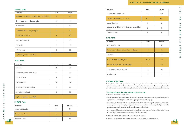#### **DEGREE INCLUDING COURSES TAUGHT IN ENGLISH**



| <b>COURSES</b>                                 | <b>ECTS</b> | <b>HOURS</b> |
|------------------------------------------------|-------------|--------------|
| Medieval and Modern Legal History (in English) | 9           | 60           |
| Commercial Law - Company Law                   | 15          | 120          |
| Roman Law                                      | 9           | 60           |
| European Union Law {in English)                | 9           | 60           |
| Canon law (in English)                         | 8           | 60           |
| Dogmatic Theology                              | 3           | 40           |
| Soft skills                                    | 3           | 30           |
| Informathics                                   | 3           | 30           |
| English language - level B1.2                  |             |              |

#### **SECOND YEAR**

#### **FOURTH YEAR**

| <b>COURSES</b>                | <b>ECTS</b> | <b>HOURS</b> |
|-------------------------------|-------------|--------------|
| Civil Law                     | 10          | 80           |
| Public and private labour law | 12          | 90           |
| Criminal Law I                | 9           | 70           |
| Civil Procedure               | 14          | 120          |
| Elective courses (in English) | 6           | 40           |
| Administrative law I          | 9           | 60           |
| English language - level B2.2 |             |              |

#### **THIRD YEAR**

| <b>COURSES</b>                                           | <b>ECTS</b> | <b>HOURS</b> |
|----------------------------------------------------------|-------------|--------------|
| Criminal Procedural Law                                  | 14          | 120          |
| Elective Course/Clinic (in English)                      | $6 + 6$     | 40           |
| Moral Theology                                           | 3           | 40           |
| Internship (or 2 labs to be done on 4th and 5th<br>year) | 6           | 40           |
| Elective course                                          | 6           | 40           |
| <b>FIFTH YEAR</b>                                        |             |              |
| <b>COURSES</b>                                           | <b>ECTS</b> | <b>HOURS</b> |
| <b>Ecclesiastical Law</b>                                | 8           | 60           |
| <b>Comparative Constitutional Law (in English)</b>       | 9           | 60           |
| <b>Tax Law</b>                                           | 9           | 60           |
| Elective courses (in English)                            | $6 + 6$     | 40           |
| Advanced legal English (in English)                      | 5           | 40           |
| Theology on specific issues                              | 3           | 40           |
| <b>Final Thesis</b>                                      | 15          |              |

### **Course objectives:**

The single-cycle Master Degree in Law is designed to provide students with a critical understanding of legal disciplines, as well as ethical and social training allowing them to acquire the necessary knowledge and skills to carry out roles within the legal profession in Italy ina European and international perspective.

|    | <b>COURSES</b>        | <b>ECTS</b> | <b>HOURS</b> | observing and analyzing legal paradigms and specific cases to reconstructing the legal matter in                                                                                 |
|----|-----------------------|-------------|--------------|----------------------------------------------------------------------------------------------------------------------------------------------------------------------------------|
|    | Administrative Law II |             | 60           | question, competently handling legal research sources and methods;<br>• an awareness of the various implications of the legal matters in question, be they ethical, value based, |
|    | International Law     |             | 60           | technical/legal, historical, social, economic, cultural or practical;<br>• fluency in English, particularly with regard to legal vocabulary;                                     |
| 40 | Criminal Law II       |             | 40           | • the ability to interact with lawyers who trained in different (overseas) legal systems.                                                                                        |
|    |                       |             |              |                                                                                                                                                                                  |

**The degree's specific educational objectives are:**

• the ability to read and analyze laws;

- the ability to develop suitable lines of thought and arguments in response to both general and specific legal questions, in writing and orally, using appropriate technical language;
- the possession of cognitive tools and interpretation techniques allowing the student to move from observing and analyzing legal paradigms and specific cases to reconstructing the legal matter in question, competently handling legal research sources and methods;
- an awareness of the various implications of the legal matters in question, be they ethical, value based, technical/legal, historical, social, economic, cultural or practical;
- fluency in English, particularly with regard to legal vocabulary;
- the ability to interact with lawyers who trained in different (overseas) legal systems.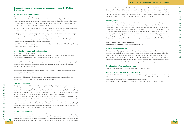#### **DEGREE INCLUDING COURSES TAUGHT IN ENGLISH**

- 
- 



#### **Expected learning outcomes (in accordance with the Dublin Indicators):**

#### **Knowledge and understanding**

The graduates in Law will acquire:

- in-depth elements of the national, European and international basic legal culture, also with casebased techniques and methodologies, in relation to issues useful for the understanding and evaluation of principles or institutions of positive law (constitutional disciplinary field; philosophical; private; comparative; of the European Union; internationalistic);
- in-depth analysis of historical knowledge that allows to evaluate the institutions of positive law also in the perspective of their historical evolution (historical-juridical disciplinary field);
- solid preparation in the public and private sector, with particular attention also to the economic aspects of legal training (economic-public disciplinary field; commercial; labor);
- the ability to relate to lawyers belonging to other legal systems (comparative disciplinary field; of the European Union; internationalistic; foreign language (s));
- the ability to produce legal, regulatory, negotiation and / or procedural texts (disciplinary, criminal, private, commercial, and labor context).

#### **Applying knowledge and understanding**

The degree aims to ensure that students have:

• theability to develop suitable lines of thought and arguments in response to both general and specific legal questions, in writing and orally, using appropriate technical language

Graduates of the master's degree in Law will be able to communicate (clearly and unambiguously to specialist and non-specialist interlocutors) in written, oral form, as well as through new multimedia technologies, the legal analysis of the cases submitted to their attention and related interpretation and application solutions. They will also be able to relate to jurists belonging to other legal systems having application solutions. They will also be able to relate to jurists belonging to other legal systems having

• the cognitive tools and interpretation techniques needed to move from observing and analyzing legal paradigms and specific cases to reconstructing the legal matter in question, competently handling legal research sources and methods

• theability to interpreta text and write acontract, a legal document, a judicial document, a judgement, and a legislative or statutory text

These skills will be acquired through interactive teaching modules, exercise, clinics, legal labs and simulated court cases, requiring an appropriate use of the written form.

#### **Making judgements**

The graduate in Law will have a critical knowledge of basic legal disciplines, some specialist areas of law, and ethical and social training that will allow to develop autonomous reflections. The student will have acquired the methodological tools useful for the collection, interpretation and application of regulatory sources and will have developed an aptitude to investigate, independently and in a group, the issues being analyzed, subjecting to criticism the different solutions for practical cases proposed.

The inclusion in the study plan, alongside the basic and characterizing disciplines, of legal clinics and professional-oriented laboratories, contributes to the formation of a real autonomy of judgment. The graduate's comprehensive knowledge and training is completed by the provision, among related and supplementary subjects, of lessons drawn from scientific disciplinary sectors other than those strictly legal, such as, for example, economic, psychological knowledge, as well as legal English and the possibility of acquiring credits by taking exams in other foreign languages.

#### **Communication skills**

acquired a solid linguistic preparation (especially for those who attend the international program). Students will acquire the ability to communicate ideas and problem solutions adequately and effectively through participation in active teaching and in particular in legal clinics, laboratories, traineeships, procedural simulations, during which students will test their skills, dealing individually and in groups with different issues and then discussing with each other and with the professors.

#### **Learning skills**

Graduates of the master's degree in Law will develop the learning ability and familiarity with the system of doctrinal and jurisprudential sources in their not only legal dimension but also economic and ethical, which allow to acquire subsequent levels of training and update independently and continuously. Learning skills are achieved in the study path as a whole: in particular, the progression of the teachings and the methodological rigor offer the student the tools for learning and educate him/ her in logical reasoning; participation in legal clinics, laboratories and traineeships gets them used to dealing operationally with concrete problems and to carry out a constant updating activity. Language and computer skills contribute to the development of an autonomous learning ability.

**Teaching language: English and Italian International mobility: Erasmus and non-Erasmus**

#### **Career opportunities:**

Graduates of this degree program, besides aiming for legal professions and the judiciary, can also participate and find high-level ernployment in various social, socio-economic and political fields. This includes institutions, public authorities, private companies, the field of information technology law, and the field of comparative, international and EU law (European legal expert). They can also work in international organisations in which their ability to analyze, assess and make decisions will prove highly productive, even outside the realm of their industry-specific skills and knowledge.

#### **Continuation of the academic career:**

Graduates can progress to first and second level Master's as well as PhDs.

#### **Further information on the course:**

Students in the International Program in Law can also participate in international competitions. In 2016, by way of example, students participated in the international "Moot Court Competition Law & Religion 2016" promoted by the Marcianum Foundation of Venice. The team from LUMSA every year participate in the International Negotiation Competition.

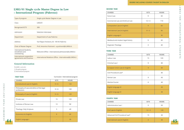# **LMG/01 Single cycle Master Degree in Law - International Program (Palermo)**

| Type of program                                           | Single cycle Master Degree in Law                       |
|-----------------------------------------------------------|---------------------------------------------------------|
| Class                                                     | <b>LMG/01</b>                                           |
| <b>Recognized ECTS</b>                                    | 300                                                     |
| Admission                                                 | Selection interviews                                    |
| Department                                                | Department of Law Palermo                               |
| Address                                                   | Via Filippo Parlatore, 65 - 90145 Palermo               |
| <b>Chair of Master Degree</b>                             | Prof, Antonino Pulvirenti - a.pulvirenti@LUMSA.it       |
| International Students,<br>enrollment and<br>orienteering | Welcome Office - international.admissions@LUMSA.it      |
| International cooperation<br>agreements and Erasmus       | International Relations Office - international@LUMSA.it |

### **General Information**

Available curricula:

1) Regular program

2) International program

#### **DEGREE INCLUDING COURSES TAUGHT IN ENGLISH**

| <b>ECTS</b> | <b>HOURS</b> |
|-------------|--------------|
| 9           | 60           |
| $12 + 3$    | 110          |
| 9           | 60           |
| $9 + 3$     | 90           |
|             | 30           |
| 9           | 60           |
| 3           | 40           |

| <b>ECTS</b> | <b>HOURS</b> |
|-------------|--------------|
| 15          | 120          |
| 9           | 80           |
| 9           | 60           |
|             | 80           |
| 9           | 60           |
| 6           | 40           |
|             | 30           |
|             | 30           |

| <b>ECTS</b> | <b>HOURS</b> |
|-------------|--------------|
| 9           | 60           |
| $12 + 3$    | 120          |
| 15          | 40           |
| 4           | 30           |



#### **FIRST YEAR**

#### **Curriculum: International program**

| <b>COURSES</b>                                           | <b>ECTS</b> | <b>HOURS</b> |
|----------------------------------------------------------|-------------|--------------|
| <b>Constitutional Law (in English)</b>                   | $9 + 6$     | 120          |
| Philosophy of Law and ethics of the legal<br>professions | $9 + 6$     | 120          |
| Philosophy of Law (in English)                           | $9 + 6$     | 120          |
| Private Law                                              | 15          | 120          |
|                                                          |             |              |
| Institutes of Roman Law                                  | 12          | 90           |
| Theology: Holy Scripture                                 | 3           | 40           |
| <b>Economics (in English)</b>                            | 9           | 60           |
| <b>English Language I</b>                                | $\sim$      | 30           |

| <b>COURSES</b>                          | <b>ECTS</b> | <b>HOURS</b> |
|-----------------------------------------|-------------|--------------|
| Canon Law                               | 9           | 60           |
| <b>Commercial Law and Antitrust Law</b> | $12 + 3$    | 110          |
| Comparative Law (in English)            | 9           | 60           |
| International Law (in English)          | $9 + 3$     | 90           |
| English Language II                     |             | 30           |
| Medieval and modern legal history       | 9           | 60           |
| Dogmatic Theology                       | 3           | 40           |
| THIRD YEAR                              |             |              |

#### **SECOND YEAR**

#### **COURSES ECTS HOURS**

Labour Law

Criminal Law I

#### European Union Law (in English)

Civil Procedural Law\*

Roman Law

#### **FOURTH YEAR**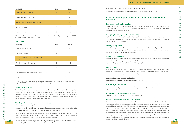| <b>COURSES</b>                                     | <b>ECTS</b> | <b>HOURS</b> |
|----------------------------------------------------|-------------|--------------|
| Administrative Law II                              | 9           | 60           |
| Ecclesiastical Law                                 | 9           | 60           |
| International and European Tax Law<br>(in English) | 9           | 60           |
| Theology on specific issues                        | 3           | 40           |
| Elective Course                                    | 6           | 40           |
| Advanced Criminal Procedural Law**                 | 15          | 40           |
| Final thesis                                       | 15          |              |

#### **FIFTH YEAR**

\*\* The courses of Criminal Procedural Law (IV year) and Advanced Criminal Procedural Law (V year) are integrated. 15 ECTS will be obtained after the final exam on V year.

| <b>COURSES</b>                      | <b>ECTS</b> | <b>HOURS</b> |
|-------------------------------------|-------------|--------------|
| Criminal Law II (in English)        | 6           | 40           |
| Criminal Procedural Law**           |             | 80           |
| Advanced Legal English (in English) | 9           | 60           |
| Moral Theology                      | 3           | 40           |
| Elective Course                     | 6           | 40           |

\* The courses Civil Procedural Law (III year) and Advanced Procedural Law (IV year) are integrated. 15 ECTS will be obtained with the final exam (IV year).

#### **Course objectives:**

The Single-cycle Master's in Law is designed to provide students with a critical understanding of the fundamental legal disciplines, as well as ethical and social training allowing them to acquire the necessary knowledge and skills to carry out roles within the legal profession. In particular, it follows a professional, scientific curriculum to train legal experts on the most topical issues and those of greatest interest in the field of law, from a European and international perspective.

#### **The degree's specific educational objectives are:**

• the ability to read and analyze laws

- fluency in English, particularly with regard to legal vocabulary
- the ability to interact with lawyers who trained in different (overseas) legal systems

### **Expected learning outcomes (in accordance with the Dublin Indicators):**

#### **Knowledge and understanding**

Provide students with a comprehensive knowledge of the international order and the order of the European Union; develop their ability to understand and master the legal lexicon proper to foreign legal systems, including common law ones.

 $\sim$ 





#### **Applying knowledge and understanding**

Ability to rework the learned knowledge, also through the conduct of autonomous research; acquisition of the skills necessary to resolve legal issues concerning contexts that present elements of extraneousness with respect to the Italian legal system.

#### **Making judgements**

Critical reinterpretation of the knowledge acquired and concurrent ability to independently investigate the topics in question; an aptitude for analyzing specific problems, even new ones, in the absence of case law and doctrines that can be used as benchmarks.

#### **Communication skills**

- the ability to develop suitable lines of thought and arguments in response to both general and specific legal questions, in writing and orally, using appropriate technical language
- the possession of cognitive tools and interpretation techniques allowing the student to move from observing and analyzing legal paradigms and specific cases to reconstructing the legal matter in question, competently handling legal research sources and methods
- an awareness of the various implications of the legal matters in question, be they ethical, value based, technical/legal, historical, social, economic, cultural or practical produce novel and original solutions. **46 47**

Acquisition of the dialectical skills needed to convey the information learned to third parties, even if they have no technical knowledge; ability to present the key aspects of each issue in a clear, concise and direct manner; willingness to interact with Italian and foreign legal experts.

#### **Learning skills**

Acquisition of a study and research method which ensures that the graduate can undertake further, highly-specialized studies, to be conducted with a high degree of educational autonomy. Ability to make comparisons between legal systems (state and/or religious).

**Teaching language: English and Italian International mobility: Erasmus and non-Erasmus**

#### **Career opportunities:**

Lawyer; notary; magistrate; legal expert for businesses; legal expert for public entities; member of diplomatic corps; teacher at upper secondary schools; professor at universities.

#### **Continuation of the academic career:**

First and second level Master's, PhDs, graduate law schools.

### **Further information on the course:**

The degree in Law offers students, admitted following a merit-based selection, the knowledge of basic legal disciplines from an Italian, European and international perspective. With regard to the latter, it is expected that new students will be able to choose between the ordinary curriculum and the "International program", the only one of its kind in Palermo. The latter, available to a maximum of 20 students, includes certain subjects (some compulsory and others optional) which are taught in English and characterized by an international and comparative content. The degree aims to equip students with a total command of the discipline concerning the major law institutions, as well as stimulating the development of a critical mindset enabling them to reinterpret the knowledge acquired during future work, drawing on it to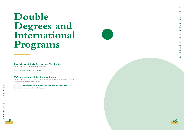### **B.A. Science of Social Services and Non-Profits:**

Double degree with Universidad de Huelva (Spain);

#### **M.A. International Relations:**

Double degree with Université de Lille (France);

### **M.A. Marketing & Digital Communication:**

Double degree with Griffith College of Dublin, (Ireland) and with Ecole des nouveaux métiers de la communication - EFAP of Paris (France);

#### **M.A. Management of Welfare Policies and Social Services:**

Double degree with Universidad de Huelva (Spain);

# **Double Degrees and International Programs**





LUMSA FOR INTERNATIONAL STUDENTS  $\subset$  $\leq$  $\mathsf{C}$  $\triangleright$  $\overline{\mathrm{m}}$  $\circ$  $\pmb{\pi}$  $\sim$  $\mathsf Z$  $\rightarrow$  $\overline{\rm m}$  $\mathbf{z}$  $\mathbf{z}$  $\blacktriangleright$  $\rightarrow$  $\circ$  $\overline{z}$  $\triangleright$  $\overline{\phantom{a}}$  $\circ$  $\rightarrow$  $\subset$  $\bigcirc$  $\overline{\mathbf{m}}$  $\mathbf{z}$  $\rightarrow$  $\overline{u}$ 

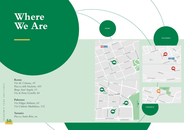





# **Rome**

*Via M. Colonna, 19 Piazza delle Vaschette, 101 Borgo Sant'Angelo, 13 Via di Porta Castello, 44*

## **Palermo**

*Via Filippo Parlatore, 65 Via Umberto Maddalena, 112*

# **Taranto**

*Piazza Santa Rita, snc*

# **Where We Are**